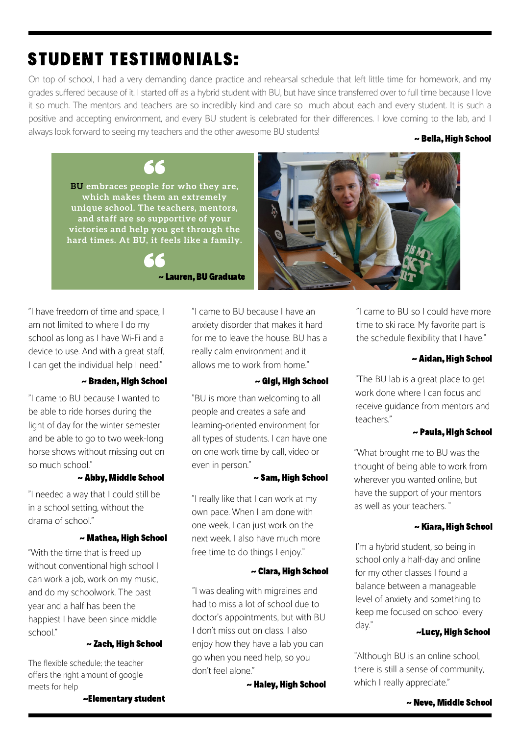~Elementary student

# STUDENT TESTIMONIALS:

On top of school, I had a very demanding dance practice and rehearsal schedule that left little time for homework, and my grades suffered because of it. I started off as a hybrid student with BU, but have since transferred over to full time because I love it so much. The mentors and teachers are so incredibly kind and care so much about each and every student. It is such a positive and accepting environment, and every BU student is celebrated for their differences. I love coming to the lab, and I always look forward to seeing my teachers and the other awesome BU students!

~ Bella, High School

**BU embraces people for who they are, which makes them an extremely unique school. The teachers, mentors, and staff are so supportive of your victories and help you get through the hard times. At BU, it feels like a family.**

"I have freedom of time and space, I am not limited to where I do my school as long as I have Wi-Fi and a device to use. And with a great staff, I can get the individual help I need."

# ~ Braden, High School

"I came to BU because Iwanted to be able to ride horses during the light of day for the winter semester and be able to go to two week-long horse shows without missing out on so much school."

# ~ Abby, Middle School

"I needed a way that I could still be in a school setting, without the drama of school."

## ~ Mathea, High School

"With the time that is freed up without conventional high school I can work a job, work on my music, and do my schoolwork. The past year and a half has been the happiest I have been since middle

# ~ Zach, High School

The flexible schedule; the teacher offers the right amount of google meets for help

"I came to BU because Ihave an anxiety disorder that makes it hard for me to leave the house. BU has a really calm environment and it allows me to work from home."

# ~ Gigi, High School

"BU is more than welcoming to all people and creates a safe and learning-oriented environment for all types of students. I can have one on one work time by call, video or even in person."

# ~ Sam, High School

"I really like that I can work at my own pace. When Iam done with one week, I can just work on the next week. I also have much more free time to do things I enjoy."

# ~ Clara, High School

school." ~Lucy, High School I don't miss out on class. I also "I was dealing with migraines and had to miss a lot of school due to doctor's appointments, but with BU enjoy how they have a lab you can go when you need help, so you don't feel alone."

~ Haley, High School

"I came to BU so I could have more time to ski race. My favorite part is the schedule flexibility that I have."

# ~ Aidan, High School

"The BU lab is a great place to get work done where I can focus and receive guidance from mentors and teachers."

# ~ Paula, High School

"What brought me to BU was the thought of being able to work from wherever you wanted online, but have the support of your mentors as well as your teachers. "

# ~ Kiara, High School

I'm a hybrid student, so being in school only a half-day and online for my other classes I found a balance between a manageable level of anxiety and something to keep me focused on school every day."

"Although BU is an online school, there is still a sense of community, which I really appreciate."

# ~ Neve, Middle School